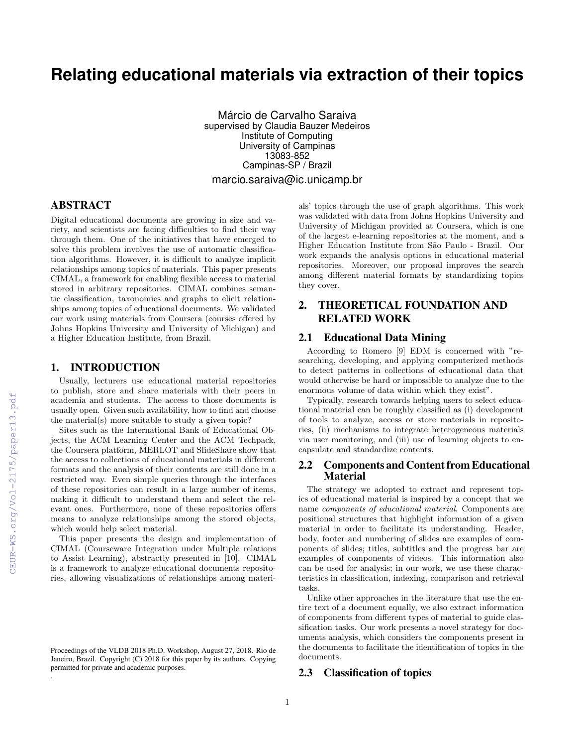# **Relating educational materials via extraction of their topics**

Márcio de Carvalho Saraiva supervised by Claudia Bauzer Medeiros Institute of Computing University of Campinas 13083-852 Campinas-SP / Brazil marcio.saraiva@ic.unicamp.br

## ABSTRACT

Digital educational documents are growing in size and variety, and scientists are facing difficulties to find their way through them. One of the initiatives that have emerged to solve this problem involves the use of automatic classification algorithms. However, it is difficult to analyze implicit relationships among topics of materials. This paper presents CIMAL, a framework for enabling flexible access to material stored in arbitrary repositories. CIMAL combines semantic classification, taxonomies and graphs to elicit relationships among topics of educational documents. We validated our work using materials from Coursera (courses offered by Johns Hopkins University and University of Michigan) and a Higher Education Institute, from Brazil.

#### 1. INTRODUCTION

Usually, lecturers use educational material repositories to publish, store and share materials with their peers in academia and students. The access to those documents is usually open. Given such availability, how to find and choose the material(s) more suitable to study a given topic?

Sites such as the International Bank of Educational Objects, the ACM Learning Center and the ACM Techpack, the Coursera platform, MERLOT and SlideShare show that the access to collections of educational materials in different formats and the analysis of their contents are still done in a restricted way. Even simple queries through the interfaces of these repositories can result in a large number of items, making it difficult to understand them and select the relevant ones. Furthermore, none of these repositories offers means to analyze relationships among the stored objects, which would help select material.

This paper presents the design and implementation of CIMAL (Courseware Integration under Multiple relations to Assist Learning), abstractly presented in [10]. CIMAL is a framework to analyze educational documents repositories, allowing visualizations of relationships among materials' topics through the use of graph algorithms. This work was validated with data from Johns Hopkins University and University of Michigan provided at Coursera, which is one of the largest e-learning repositories at the moment, and a Higher Education Institute from São Paulo - Brazil. Our work expands the analysis options in educational material repositories. Moreover, our proposal improves the search among different material formats by standardizing topics they cover.

# 2. THEORETICAL FOUNDATION AND RELATED WORK

## 2.1 Educational Data Mining

According to Romero [9] EDM is concerned with "researching, developing, and applying computerized methods to detect patterns in collections of educational data that would otherwise be hard or impossible to analyze due to the enormous volume of data within which they exist".

Typically, research towards helping users to select educational material can be roughly classified as (i) development of tools to analyze, access or store materials in repositories, (ii) mechanisms to integrate heterogeneous materials via user monitoring, and (iii) use of learning objects to encapsulate and standardize contents.

### 2.2 Components and Content from Educational **Material**

The strategy we adopted to extract and represent topics of educational material is inspired by a concept that we name components of educational material. Components are positional structures that highlight information of a given material in order to facilitate its understanding. Header, body, footer and numbering of slides are examples of components of slides; titles, subtitles and the progress bar are examples of components of videos. This information also can be used for analysis; in our work, we use these characteristics in classification, indexing, comparison and retrieval tasks.

Unlike other approaches in the literature that use the entire text of a document equally, we also extract information of components from different types of material to guide classification tasks. Our work presents a novel strategy for documents analysis, which considers the components present in the documents to facilitate the identification of topics in the documents.

#### 2.3 Classification of topics

.

Proceedings of the VLDB 2018 Ph.D. Workshop, August 27, 2018. Rio de Janeiro, Brazil. Copyright (C) 2018 for this paper by its authors. Copying permitted for private and academic purposes.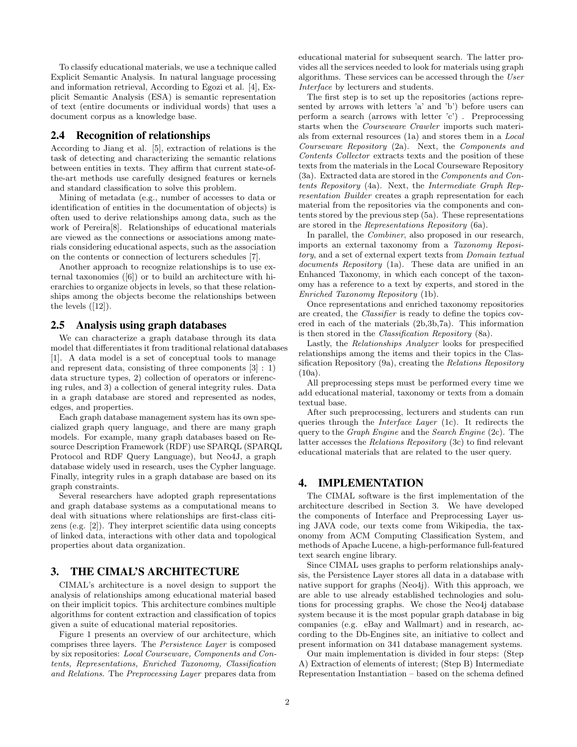To classify educational materials, we use a technique called Explicit Semantic Analysis. In natural language processing and information retrieval, According to Egozi et al. [4], Explicit Semantic Analysis (ESA) is semantic representation of text (entire documents or individual words) that uses a document corpus as a knowledge base.

## 2.4 Recognition of relationships

According to Jiang et al. [5], extraction of relations is the task of detecting and characterizing the semantic relations between entities in texts. They affirm that current state-ofthe-art methods use carefully designed features or kernels and standard classification to solve this problem.

Mining of metadata (e.g., number of accesses to data or identification of entities in the documentation of objects) is often used to derive relationships among data, such as the work of Pereira[8]. Relationships of educational materials are viewed as the connections or associations among materials considering educational aspects, such as the association on the contents or connection of lecturers schedules [7].

Another approach to recognize relationships is to use external taxonomies ([6]) or to build an architecture with hierarchies to organize objects in levels, so that these relationships among the objects become the relationships between the levels  $([12])$ .

#### 2.5 Analysis using graph databases

We can characterize a graph database through its data model that differentiates it from traditional relational databases [1]. A data model is a set of conceptual tools to manage and represent data, consisting of three components [3] : 1) data structure types, 2) collection of operators or inferencing rules, and 3) a collection of general integrity rules. Data in a graph database are stored and represented as nodes, edges, and properties.

Each graph database management system has its own specialized graph query language, and there are many graph models. For example, many graph databases based on Resource Description Framework (RDF) use SPARQL (SPARQL Protocol and RDF Query Language), but Neo4J, a graph database widely used in research, uses the Cypher language. Finally, integrity rules in a graph database are based on its graph constraints.

Several researchers have adopted graph representations and graph database systems as a computational means to deal with situations where relationships are first-class citizens (e.g. [2]). They interpret scientific data using concepts of linked data, interactions with other data and topological properties about data organization.

## 3. THE CIMAL'S ARCHITECTURE

CIMAL's architecture is a novel design to support the analysis of relationships among educational material based on their implicit topics. This architecture combines multiple algorithms for content extraction and classification of topics given a suite of educational material repositories.

Figure 1 presents an overview of our architecture, which comprises three layers. The Persistence Layer is composed by six repositories: Local Courseware, Components and Contents, Representations, Enriched Taxonomy, Classification and Relations. The Preprocessing Layer prepares data from educational material for subsequent search. The latter provides all the services needed to look for materials using graph algorithms. These services can be accessed through the User Interface by lecturers and students.

The first step is to set up the repositories (actions represented by arrows with letters 'a' and 'b') before users can perform a search (arrows with letter 'c') . Preprocessing starts when the Courseware Crawler imports such materials from external resources (1a) and stores them in a Local Courseware Repository (2a). Next, the Components and Contents Collector extracts texts and the position of these texts from the materials in the Local Courseware Repository (3a). Extracted data are stored in the Components and Contents Repository (4a). Next, the Intermediate Graph Representation Builder creates a graph representation for each material from the repositories via the components and contents stored by the previous step (5a). These representations are stored in the Representations Repository (6a).

In parallel, the Combiner, also proposed in our research, imports an external taxonomy from a Taxonomy Repository, and a set of external expert texts from Domain textual documents Repository (1a). These data are unified in an Enhanced Taxonomy, in which each concept of the taxonomy has a reference to a text by experts, and stored in the Enriched Taxonomy Repository (1b).

Once representations and enriched taxonomy repositories are created, the Classifier is ready to define the topics covered in each of the materials (2b,3b,7a). This information is then stored in the Classification Repository (8a).

Lastly, the Relationships Analyzer looks for prespecified relationships among the items and their topics in the Classification Repository (9a), creating the Relations Repository (10a).

All preprocessing steps must be performed every time we add educational material, taxonomy or texts from a domain textual base.

After such preprocessing, lecturers and students can run queries through the Interface Layer (1c). It redirects the query to the Graph Engine and the Search Engine (2c). The latter accesses the Relations Repository (3c) to find relevant educational materials that are related to the user query.

## 4. IMPLEMENTATION

The CIMAL software is the first implementation of the architecture described in Section 3. We have developed the components of Interface and Preprocessing Layer using JAVA code, our texts come from Wikipedia, the taxonomy from ACM Computing Classification System, and methods of Apache Lucene, a high-performance full-featured text search engine library.

Since CIMAL uses graphs to perform relationships analysis, the Persistence Layer stores all data in a database with native support for graphs (Neo4j). With this approach, we are able to use already established technologies and solutions for processing graphs. We chose the Neo4j database system because it is the most popular graph database in big companies (e.g. eBay and Wallmart) and in research, according to the Db-Engines site, an initiative to collect and present information on 341 database management systems.

Our main implementation is divided in four steps: (Step A) Extraction of elements of interest; (Step B) Intermediate Representation Instantiation – based on the schema defined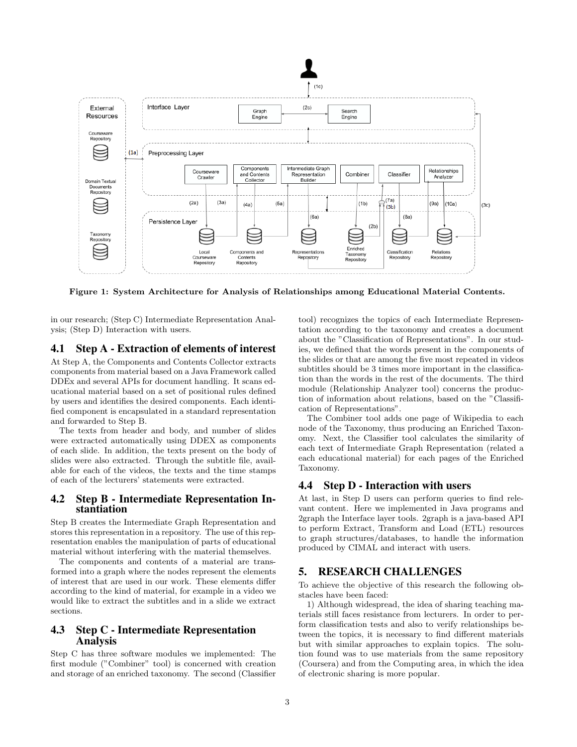

Figure 1: System Architecture for Analysis of Relationships among Educational Material Contents.

in our research; (Step C) Intermediate Representation Analysis; (Step D) Interaction with users.

## 4.1 Step A - Extraction of elements of interest

At Step A, the Components and Contents Collector extracts components from material based on a Java Framework called DDEx and several APIs for document handling. It scans educational material based on a set of positional rules defined by users and identifies the desired components. Each identified component is encapsulated in a standard representation and forwarded to Step B.

The texts from header and body, and number of slides were extracted automatically using DDEX as components of each slide. In addition, the texts present on the body of slides were also extracted. Through the subtitle file, available for each of the videos, the texts and the time stamps of each of the lecturers' statements were extracted.

#### 4.2 Step B - Intermediate Representation Instantiation

Step B creates the Intermediate Graph Representation and stores this representation in a repository. The use of this representation enables the manipulation of parts of educational material without interfering with the material themselves.

The components and contents of a material are transformed into a graph where the nodes represent the elements of interest that are used in our work. These elements differ according to the kind of material, for example in a video we would like to extract the subtitles and in a slide we extract sections.

## 4.3 Step C - Intermediate Representation Analysis

Step C has three software modules we implemented: The first module ("Combiner" tool) is concerned with creation and storage of an enriched taxonomy. The second (Classifier

tool) recognizes the topics of each Intermediate Representation according to the taxonomy and creates a document about the "Classification of Representations". In our studies, we defined that the words present in the components of the slides or that are among the five most repeated in videos subtitles should be 3 times more important in the classification than the words in the rest of the documents. The third module (Relationship Analyzer tool) concerns the production of information about relations, based on the "Classification of Representations".

The Combiner tool adds one page of Wikipedia to each node of the Taxonomy, thus producing an Enriched Taxonomy. Next, the Classifier tool calculates the similarity of each text of Intermediate Graph Representation (related a each educational material) for each pages of the Enriched Taxonomy.

### 4.4 Step D - Interaction with users

At last, in Step D users can perform queries to find relevant content. Here we implemented in Java programs and 2graph the Interface layer tools. 2graph is a java-based API to perform Extract, Transform and Load (ETL) resources to graph structures/databases, to handle the information produced by CIMAL and interact with users.

## 5. RESEARCH CHALLENGES

To achieve the objective of this research the following obstacles have been faced:

1) Although widespread, the idea of sharing teaching materials still faces resistance from lecturers. In order to perform classification tests and also to verify relationships between the topics, it is necessary to find different materials but with similar approaches to explain topics. The solution found was to use materials from the same repository (Coursera) and from the Computing area, in which the idea of electronic sharing is more popular.